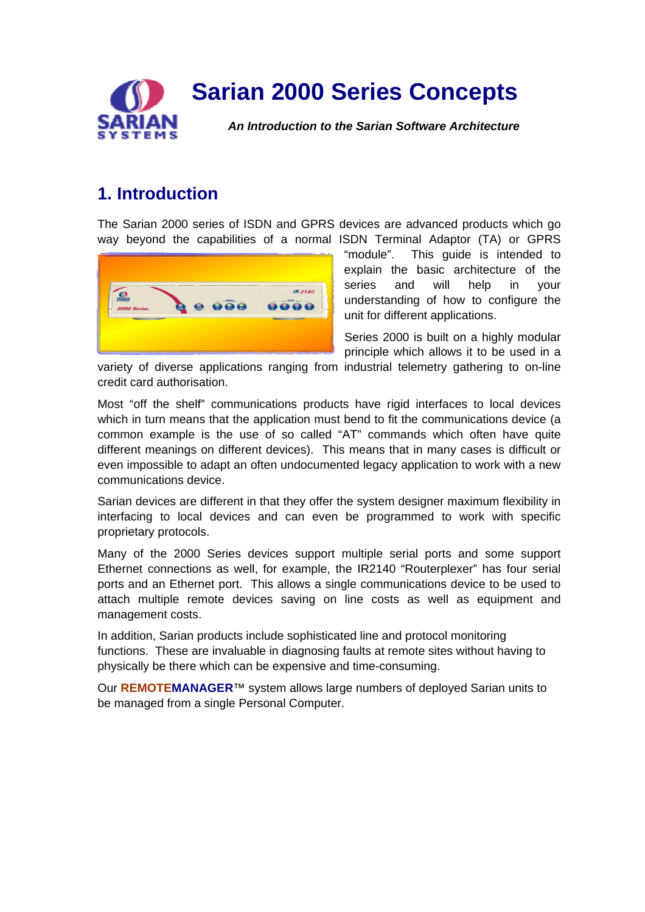

# **Sarian 2000 Series Concepts**

*An Introduction to the Sarian Software Architecture* 

# **1. Introduction**

The Sarian 2000 series of ISDN and GPRS devices are advanced products which go way beyond the capabilities of a normal ISDN Terminal Adaptor (TA) or GPRS



"module". This guide is intended to explain the basic architecture of the series and will help in your understanding of how to configure the unit for different applications.

Series 2000 is built on a highly modular principle which allows it to be used in a

variety of diverse applications ranging from industrial telemetry gathering to on-line credit card authorisation.

Most "off the shelf" communications products have rigid interfaces to local devices which in turn means that the application must bend to fit the communications device (a common example is the use of so called "AT" commands which often have quite different meanings on different devices). This means that in many cases is difficult or even impossible to adapt an often undocumented legacy application to work with a new communications device.

Sarian devices are different in that they offer the system designer maximum flexibility in interfacing to local devices and can even be programmed to work with specific proprietary protocols.

Many of the 2000 Series devices support multiple serial ports and some support Ethernet connections as well, for example, the IR2140 "Routerplexer" has four serial ports and an Ethernet port. This allows a single communications device to be used to attach multiple remote devices saving on line costs as well as equipment and management costs.

In addition, Sarian products include sophisticated line and protocol monitoring functions. These are invaluable in diagnosing faults at remote sites without having to physically be there which can be expensive and time-consuming.

Our **REMOTEMANAGER**™ system allows large numbers of deployed Sarian units to be managed from a single Personal Computer.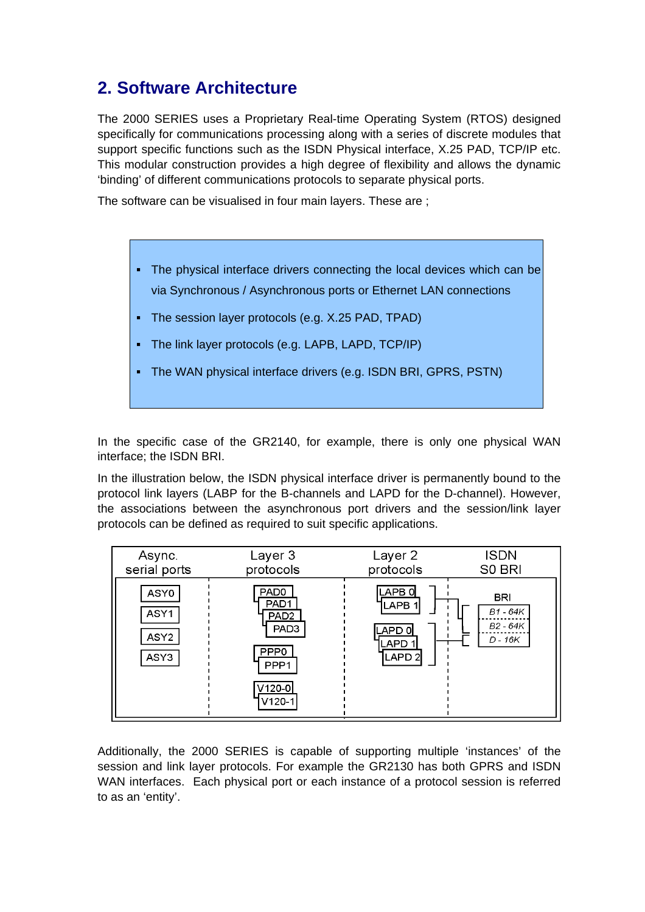# **2. Software Architecture**

The 2000 SERIES uses a Proprietary Real-time Operating System (RTOS) designed specifically for communications processing along with a series of discrete modules that support specific functions such as the ISDN Physical interface, X.25 PAD, TCP/IP etc. This modular construction provides a high degree of flexibility and allows the dynamic 'binding' of different communications protocols to separate physical ports.

The software can be visualised in four main layers. These are ;

- ! The physical interface drivers connecting the local devices which can be via Synchronous / Asynchronous ports or Ethernet LAN connections
- ! The session layer protocols (e.g. X.25 PAD, TPAD)
- ! The link layer protocols (e.g. LAPB, LAPD, TCP/IP)
- ! The WAN physical interface drivers (e.g. ISDN BRI, GPRS, PSTN)

In the specific case of the GR2140, for example, there is only one physical WAN interface; the ISDN BRI.

In the illustration below, the ISDN physical interface driver is permanently bound to the protocol link layers (LABP for the B-channels and LAPD for the D-channel). However, the associations between the asynchronous port drivers and the session/link layer protocols can be defined as required to suit specific applications.

| Async.                                   | Layer 3                                                                                                                                     | Layer 2                                                            | ISDN                                            |
|------------------------------------------|---------------------------------------------------------------------------------------------------------------------------------------------|--------------------------------------------------------------------|-------------------------------------------------|
| serial ports                             | protocols                                                                                                                                   | protocols                                                          | S0 BRI                                          |
| ASY0<br>ASY1<br>ASY <sub>2</sub><br>ASY3 | PAD <sub>0</sub><br>PAD <sub>1</sub><br>PAD <sub>2</sub><br>PAD <sub>3</sub><br>PPP <sub>0</sub><br>PPP <sub>1</sub><br>V120-0 <br>$V120-1$ | LAPB O<br>LAPB <sub>1</sub><br>LAPD 0<br>LAPD<br>LAPD <sub>2</sub> | <b>BRI</b><br>B1 - 64K<br>B2 - 64K<br>$D - 16K$ |

Additionally, the 2000 SERIES is capable of supporting multiple 'instances' of the session and link layer protocols. For example the GR2130 has both GPRS and ISDN WAN interfaces. Each physical port or each instance of a protocol session is referred to as an 'entity'.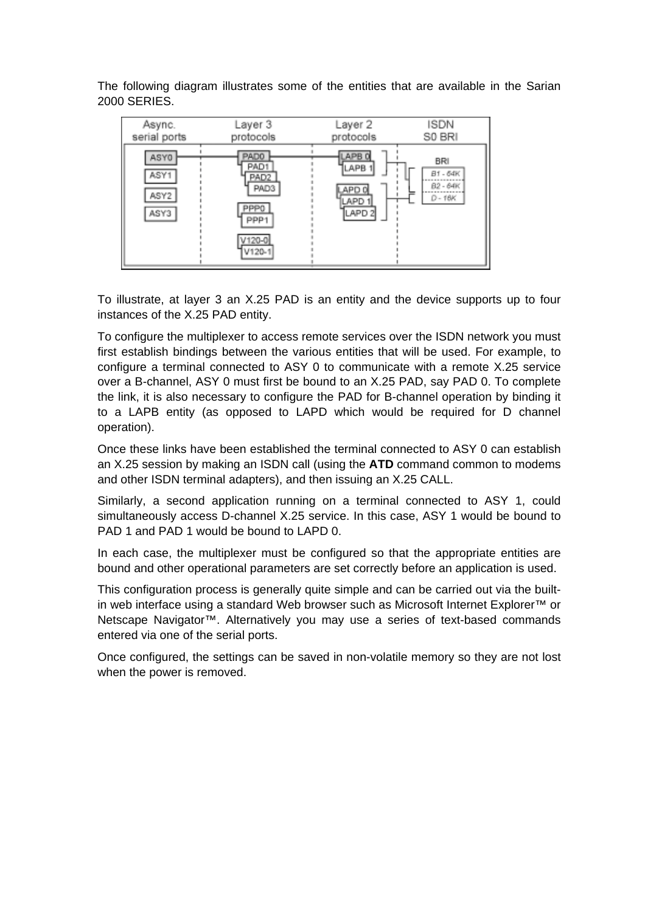The following diagram illustrates some of the entities that are available in the Sarian 2000 SERIES.



To illustrate, at layer 3 an X.25 PAD is an entity and the device supports up to four instances of the X.25 PAD entity.

To configure the multiplexer to access remote services over the ISDN network you must first establish bindings between the various entities that will be used. For example, to configure a terminal connected to ASY 0 to communicate with a remote X.25 service over a B-channel, ASY 0 must first be bound to an X.25 PAD, say PAD 0. To complete the link, it is also necessary to configure the PAD for B-channel operation by binding it to a LAPB entity (as opposed to LAPD which would be required for D channel operation).

Once these links have been established the terminal connected to ASY 0 can establish an X.25 session by making an ISDN call (using the **ATD** command common to modems and other ISDN terminal adapters), and then issuing an X.25 CALL.

Similarly, a second application running on a terminal connected to ASY 1, could simultaneously access D-channel X.25 service. In this case, ASY 1 would be bound to PAD 1 and PAD 1 would be bound to LAPD 0.

In each case, the multiplexer must be configured so that the appropriate entities are bound and other operational parameters are set correctly before an application is used.

This configuration process is generally quite simple and can be carried out via the builtin web interface using a standard Web browser such as Microsoft Internet Explorer™ or Netscape Navigator™. Alternatively you may use a series of text-based commands entered via one of the serial ports.

Once configured, the settings can be saved in non-volatile memory so they are not lost when the power is removed.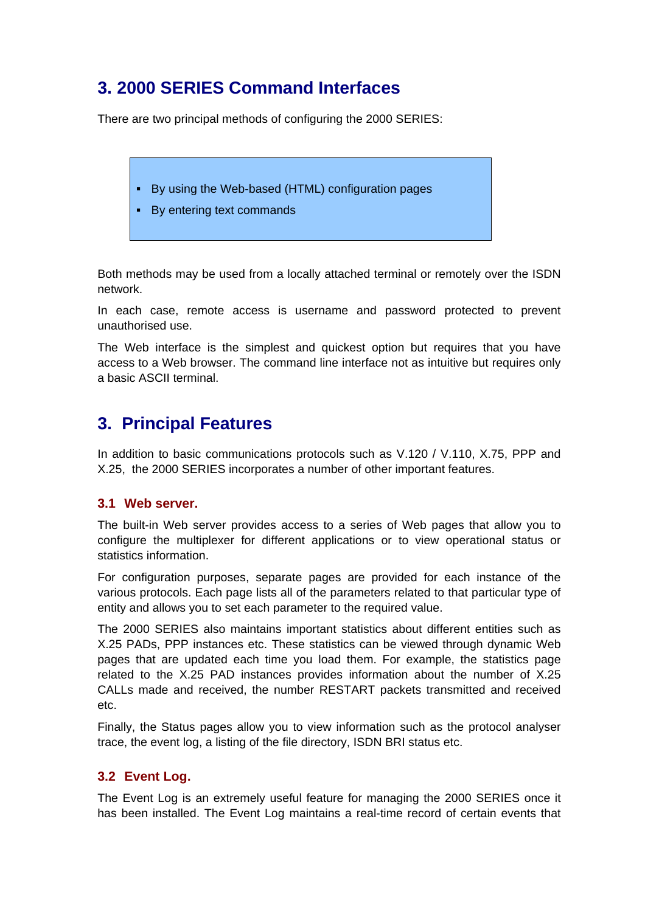# **3. 2000 SERIES Command Interfaces**

There are two principal methods of configuring the 2000 SERIES:

- ! By using the Web-based (HTML) configuration pages
- ! By entering text commands

Both methods may be used from a locally attached terminal or remotely over the ISDN network.

In each case, remote access is username and password protected to prevent unauthorised use.

The Web interface is the simplest and quickest option but requires that you have access to a Web browser. The command line interface not as intuitive but requires only a basic ASCII terminal.

# **3. Principal Features**

In addition to basic communications protocols such as V.120 / V.110, X.75, PPP and X.25, the 2000 SERIES incorporates a number of other important features.

### **3.1 Web server.**

The built-in Web server provides access to a series of Web pages that allow you to configure the multiplexer for different applications or to view operational status or statistics information.

For configuration purposes, separate pages are provided for each instance of the various protocols. Each page lists all of the parameters related to that particular type of entity and allows you to set each parameter to the required value.

The 2000 SERIES also maintains important statistics about different entities such as X.25 PADs, PPP instances etc. These statistics can be viewed through dynamic Web pages that are updated each time you load them. For example, the statistics page related to the X.25 PAD instances provides information about the number of X.25 CALLs made and received, the number RESTART packets transmitted and received etc.

Finally, the Status pages allow you to view information such as the protocol analyser trace, the event log, a listing of the file directory, ISDN BRI status etc.

### **3.2 Event Log.**

The Event Log is an extremely useful feature for managing the 2000 SERIES once it has been installed. The Event Log maintains a real-time record of certain events that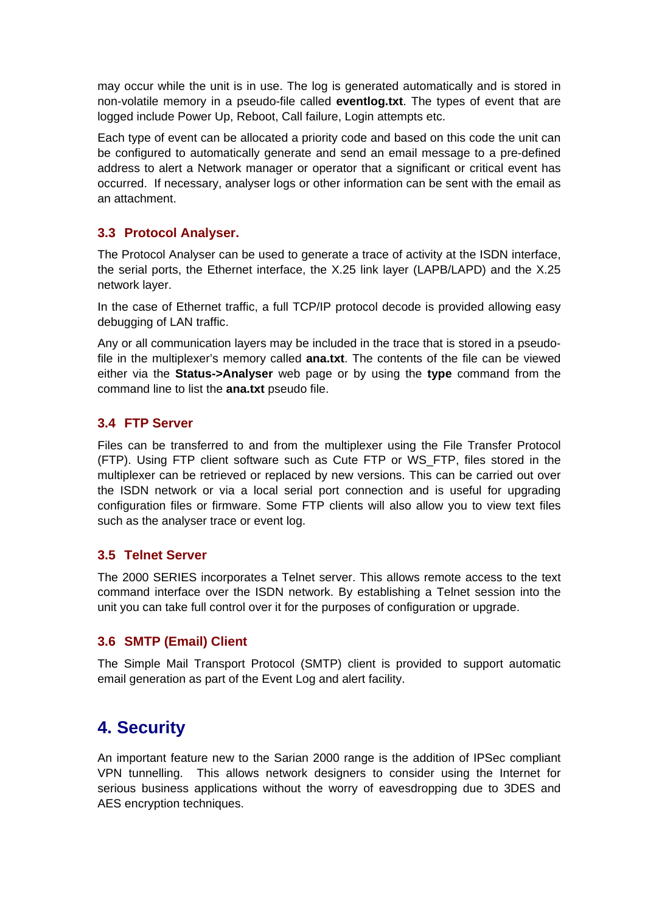may occur while the unit is in use. The log is generated automatically and is stored in non-volatile memory in a pseudo-file called **eventlog.txt**. The types of event that are logged include Power Up, Reboot, Call failure, Login attempts etc.

Each type of event can be allocated a priority code and based on this code the unit can be configured to automatically generate and send an email message to a pre-defined address to alert a Network manager or operator that a significant or critical event has occurred. If necessary, analyser logs or other information can be sent with the email as an attachment.

#### **3.3 Protocol Analyser.**

The Protocol Analyser can be used to generate a trace of activity at the ISDN interface, the serial ports, the Ethernet interface, the X.25 link layer (LAPB/LAPD) and the X.25 network layer.

In the case of Ethernet traffic, a full TCP/IP protocol decode is provided allowing easy debugging of LAN traffic.

Any or all communication layers may be included in the trace that is stored in a pseudofile in the multiplexer's memory called **ana.txt**. The contents of the file can be viewed either via the **Status->Analyser** web page or by using the **type** command from the command line to list the **ana.txt** pseudo file.

#### **3.4 FTP Server**

Files can be transferred to and from the multiplexer using the File Transfer Protocol (FTP). Using FTP client software such as Cute FTP or WS\_FTP, files stored in the multiplexer can be retrieved or replaced by new versions. This can be carried out over the ISDN network or via a local serial port connection and is useful for upgrading configuration files or firmware. Some FTP clients will also allow you to view text files such as the analyser trace or event log.

#### **3.5 Telnet Server**

The 2000 SERIES incorporates a Telnet server. This allows remote access to the text command interface over the ISDN network. By establishing a Telnet session into the unit you can take full control over it for the purposes of configuration or upgrade.

### **3.6 SMTP (Email) Client**

The Simple Mail Transport Protocol (SMTP) client is provided to support automatic email generation as part of the Event Log and alert facility.

## **4. Security**

An important feature new to the Sarian 2000 range is the addition of IPSec compliant VPN tunnelling. This allows network designers to consider using the Internet for serious business applications without the worry of eavesdropping due to 3DES and AES encryption techniques.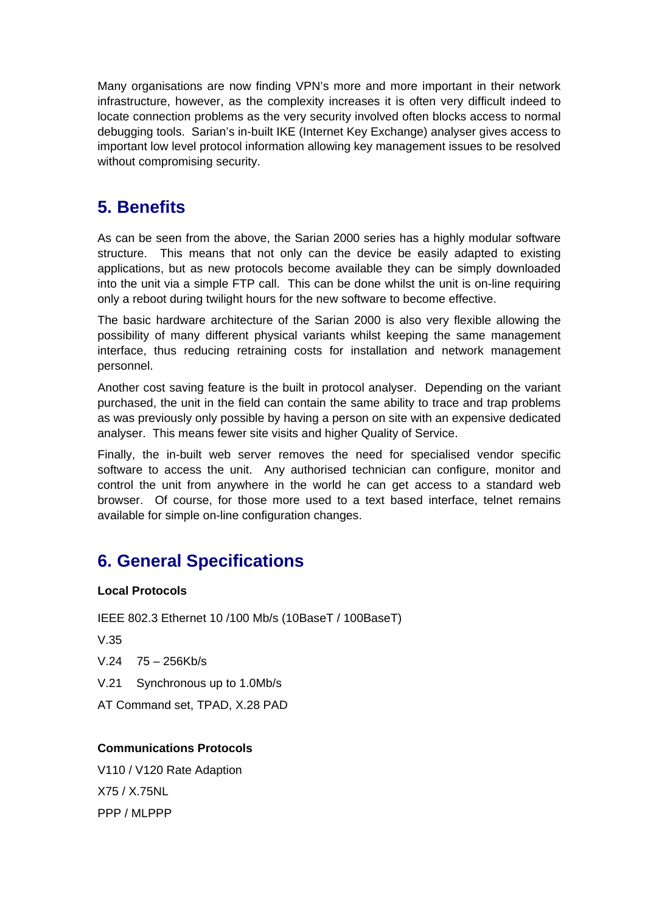Many organisations are now finding VPN's more and more important in their network infrastructure, however, as the complexity increases it is often very difficult indeed to locate connection problems as the very security involved often blocks access to normal debugging tools. Sarian's in-built IKE (Internet Key Exchange) analyser gives access to important low level protocol information allowing key management issues to be resolved without compromising security.

# **5. Benefits**

As can be seen from the above, the Sarian 2000 series has a highly modular software structure. This means that not only can the device be easily adapted to existing applications, but as new protocols become available they can be simply downloaded into the unit via a simple FTP call. This can be done whilst the unit is on-line requiring only a reboot during twilight hours for the new software to become effective.

The basic hardware architecture of the Sarian 2000 is also very flexible allowing the possibility of many different physical variants whilst keeping the same management interface, thus reducing retraining costs for installation and network management personnel.

Another cost saving feature is the built in protocol analyser. Depending on the variant purchased, the unit in the field can contain the same ability to trace and trap problems as was previously only possible by having a person on site with an expensive dedicated analyser. This means fewer site visits and higher Quality of Service.

Finally, the in-built web server removes the need for specialised vendor specific software to access the unit. Any authorised technician can configure, monitor and control the unit from anywhere in the world he can get access to a standard web browser. Of course, for those more used to a text based interface, telnet remains available for simple on-line configuration changes.

# **6. General Specifications**

### **Local Protocols**

IEEE 802.3 Ethernet 10 /100 Mb/s (10BaseT / 100BaseT)

V.35

- V.24 75 256Kb/s
- V.21 Synchronous up to 1.0Mb/s

AT Command set, TPAD, X.28 PAD

### **Communications Protocols**

V110 / V120 Rate Adaption X75 / X.75NL PPP / MLPPP